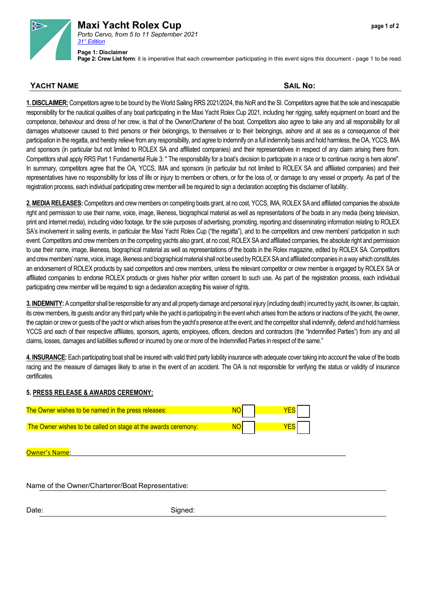

## **Maxi Yacht Rolex Cup** *page 1 of 2 Porto Cervo, from 5 to 11 September 2021 [31° Edition](https://www.yccs.it/resarea/files/regate/risultati/MYRC_Winners0.pdf)*

**Page 2: Crew List form**: it is imperative that each crewmember participating in this event signs this document - page 1 to be read.

## **YACHT NAME** SAIL No:

**1. DISCLAIMER:** Competitors agree to be bound by the World Sailing RRS 2021/2024, this NoRand the SI. Competitors agree that the sole and inescapable responsibility for the nautical qualities of any boat participating in the Maxi Yacht Rolex Cup 2021, including her rigging, safety equipment on board and the competence, behaviour and dress of her crew, is that of the Owner/Charterer of the boat. Competitors also agree to take any and all responsibility for all damages whatsoever caused to third persons or their belongings, to themselves or to their belongings, ashore and at sea as a consequence of their participation in the regatta, and hereby relieve from any responsibility, and agree to indemnify on a full indemnity basis and hold harmless, the OA, YCCS, IMA and sponsors (in particular but not limited to ROLEX SA and affiliated companies) and their representatives in respect of any claim arising there from. Competitors shall apply RRS Part 1 Fundamental Rule 3: " The responsibility for a boat's decision to participate in a race or to continue *racing* is hers alone". In summary, competitors agree that the OA, YCCS, IMA and sponsors (in particular but not limited to ROLEX SA and affiliated companies) and their representatives have no responsibility for loss of life or injury to members or others, or for the loss of, or damage to any vessel or property. As part of the registration process, each individual participating crew member will be required to sign a declaration accepting this disclaimer of liability.

**2. MEDIA RELEASES:** Competitors and crew members on competing boats grant, at no cost, YCCS, IMA, ROLEX SA and affiliated companies the absolute right and permission to use their name, voice, image, likeness, biographical material as well as representations of the boats in any media (being television, print and internet media), including video footage, for the sole purposes of advertising, promoting, reporting and disseminating information relating to ROLEX SA's involvement in sailing events, in particular the Maxi Yacht Rolex Cup ("the regatta"), and to the competitors and crew members' participation in such event. Competitors and crew members on the competing yachts also grant, at no cost, ROLEX SA and affiliated companies, the absolute right and permission to use their name, image, likeness, biographical material as well as representations of the boats in the Rolex magazine, edited by ROLEX SA. Competitors and crew members' name, voice, image, likeness and biographical material shall not be used by ROLEX SA and affiliated companies in a way which constitutes an endorsement of ROLEX products by said competitors and crew members, unless the relevant competitor or crew member is engaged by ROLEX SA or affiliated companies to endorse ROLEX products or gives his/her prior written consent to such use. As part of the registration process, each individual participating crew member will be required to sign a declaration accepting this waiver of rights.

**3. INDEMNITY:** A competitor shall be responsible for any and all property damage and personal injury (including death) incurred by yacht, its owner, its captain, its crew members, its guests and/or any third party while the yacht is participating in the event which arises from the actions or inactions of the yacht, the owner, the captain or crew or guests of the yacht or which arises from the yacht's presence at the event, and the competitor shall indemnify, defend and hold harmless YCCS and each of their respective affiliates, sponsors, agents, employees, officers, directors and contractors (the "Indemnified Parties") from any and all claims, losses, damages and liabilities suffered or incurred by one or more of the Indemnified Parties in respect of the same."

**4. INSURANCE:** Each participating boat shall be insured with valid third party liability insurance with adequate cover taking into account the value of the boats racing and the measure of damages likely to arise in the event of an accident. The OA is not responsible for verifying the status or validity of insurance certificates.

## **5. PRESS RELEASE & AWARDS CEREMONY:**

| The Owner wishes to be named in the press releases:            |  |
|----------------------------------------------------------------|--|
| The Owner wishes to be called on stage at the awards ceremony: |  |

Owner's Name

Name of the Owner/Charterer/Boat Representative:

Date: Signed: Signed: Signed: Signed: Signed: Signed: Signed: Signed: Signed: Signed: Signed: Signed: Signed: Signed: Signed: Signed: Signed: Signed: Signed: Signed: Signed: Signed: Signed: Signed: Signed: Signed: Signed: